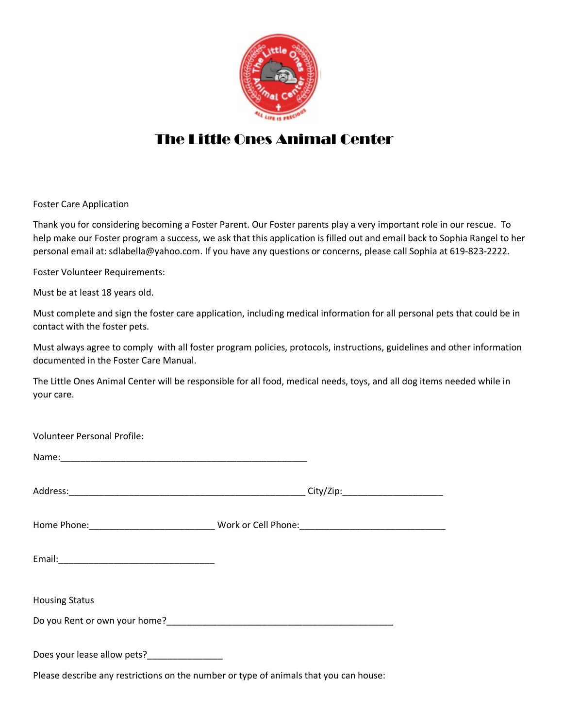

## The Little Ones Animal Center

Foster Care Application

Thank you for considering becoming a Foster Parent. Our Foster parents play a very important role in our rescue. To help make our Foster program a success, we ask that this application is filled out and email back to Sophia Rangel to her personal email at: sdlabella@yahoo.com. If you have any questions or concerns, please call Sophia at 619-823-2222.

Foster Volunteer Requirements:

Must be at least 18 years old.

Must complete and sign the foster care application, including medical information for all personal pets that could be in contact with the foster pets.

Must always agree to comply with all foster program policies, protocols, instructions, guidelines and other information documented in the Foster Care Manual.

The Little Ones Animal Center will be responsible for all food, medical needs, toys, and all dog items needed while in your care.

| <b>Volunteer Personal Profile:</b>                                                    |  |  |
|---------------------------------------------------------------------------------------|--|--|
|                                                                                       |  |  |
|                                                                                       |  |  |
|                                                                                       |  |  |
|                                                                                       |  |  |
| <b>Housing Status</b>                                                                 |  |  |
|                                                                                       |  |  |
| Does your lease allow pets?_________________                                          |  |  |
| Please describe any restrictions on the number or type of animals that you can house: |  |  |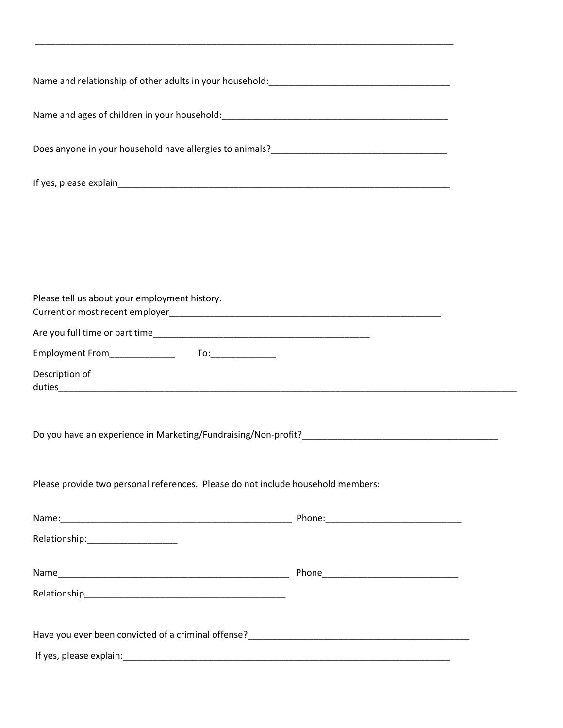| Please tell us about your employment history.                                    |  |  |  |  |
|----------------------------------------------------------------------------------|--|--|--|--|
|                                                                                  |  |  |  |  |
|                                                                                  |  |  |  |  |
|                                                                                  |  |  |  |  |
| Description of                                                                   |  |  |  |  |
|                                                                                  |  |  |  |  |
| Please provide two personal references. Please do not include household members: |  |  |  |  |
|                                                                                  |  |  |  |  |
| Relationship:________________________                                            |  |  |  |  |
|                                                                                  |  |  |  |  |
|                                                                                  |  |  |  |  |
|                                                                                  |  |  |  |  |
|                                                                                  |  |  |  |  |

\_\_\_\_\_\_\_\_\_\_\_\_\_\_\_\_\_\_\_\_\_\_\_\_\_\_\_\_\_\_\_\_\_\_\_\_\_\_\_\_\_\_\_\_\_\_\_\_\_\_\_\_\_\_\_\_\_\_\_\_\_\_\_\_\_\_\_\_\_\_\_\_\_\_\_\_\_\_\_\_\_\_\_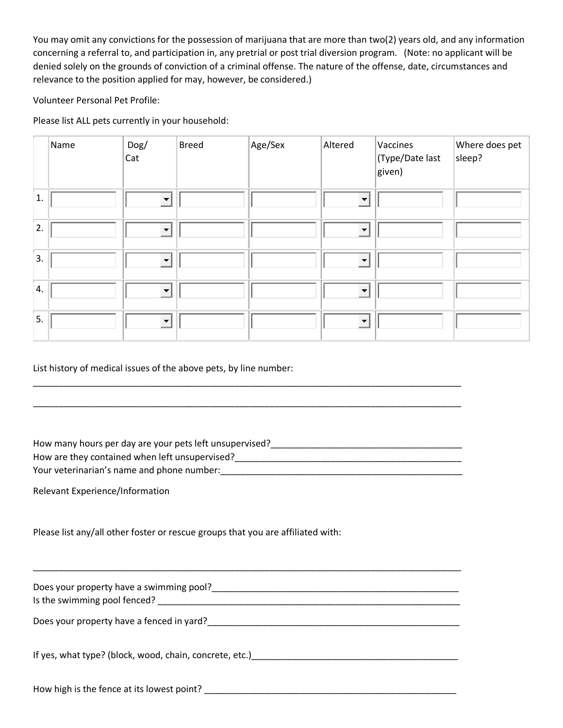You may omit any convictions for the possession of marijuana that are more than two(2) years old, and any information concerning a referral to, and participation in, any pretrial or post trial diversion program. (Note: no applicant will be denied solely on the grounds of conviction of a criminal offense. The nature of the offense, date, circumstances and relevance to the position applied for may, however, be considered.)

Volunteer Personal Pet Profile:

Please list ALL pets currently in your household:

|    | Name | Dog/<br>Cat              | <b>Breed</b> | Age/Sex | Altered                 | Vaccines<br>Type/Date last)<br>given) | Where does pet<br>sleep? |
|----|------|--------------------------|--------------|---------|-------------------------|---------------------------------------|--------------------------|
| 1. |      | $\overline{\phantom{a}}$ |              |         | $\overline{\mathbf{r}}$ |                                       |                          |
| 2. |      | $\blacksquare$           |              |         | $\blacksquare$          |                                       |                          |
| 3. |      | $\blacksquare$           |              |         | $\blacksquare$          |                                       |                          |
| 4. |      | $\overline{\phantom{a}}$ |              |         | $\blacksquare$          |                                       |                          |
| 5. |      | $\blacksquare$           |              |         | $\blacksquare$          |                                       |                          |

List history of medical issues of the above pets, by line number:

How many hours per day are your pets left unsupervised?\_\_\_\_\_\_\_\_\_\_\_\_\_\_\_\_\_\_\_\_\_\_\_\_\_\_\_\_\_\_\_\_\_\_\_\_\_\_ How are they contained when left unsupervised?\_\_\_\_\_\_\_\_\_\_\_\_\_\_\_\_\_\_\_\_\_\_\_\_\_\_\_\_\_\_\_\_\_\_\_\_\_\_\_\_\_\_\_\_\_ Your veterinarian's name and phone number:\_\_\_\_\_\_\_\_\_\_\_\_\_\_\_\_\_\_\_\_\_\_\_\_\_\_\_\_\_\_\_\_\_\_\_\_\_\_\_\_\_\_\_\_\_\_\_\_

\_\_\_\_\_\_\_\_\_\_\_\_\_\_\_\_\_\_\_\_\_\_\_\_\_\_\_\_\_\_\_\_\_\_\_\_\_\_\_\_\_\_\_\_\_\_\_\_\_\_\_\_\_\_\_\_\_\_\_\_\_\_\_\_\_\_\_\_\_\_\_\_\_\_\_\_\_\_\_\_\_\_\_\_\_

\_\_\_\_\_\_\_\_\_\_\_\_\_\_\_\_\_\_\_\_\_\_\_\_\_\_\_\_\_\_\_\_\_\_\_\_\_\_\_\_\_\_\_\_\_\_\_\_\_\_\_\_\_\_\_\_\_\_\_\_\_\_\_\_\_\_\_\_\_\_\_\_\_\_\_\_\_\_\_\_\_\_\_\_\_

Relevant Experience/Information

Please list any/all other foster or rescue groups that you are affiliated with:

| Does your property have a swimming pool?<br>Is the swimming pool fenced? |
|--------------------------------------------------------------------------|
| Does your property have a fenced in yard?                                |
| If yes, what type? (block, wood, chain, concrete, etc.)                  |
| How high is the fence at its lowest point?                               |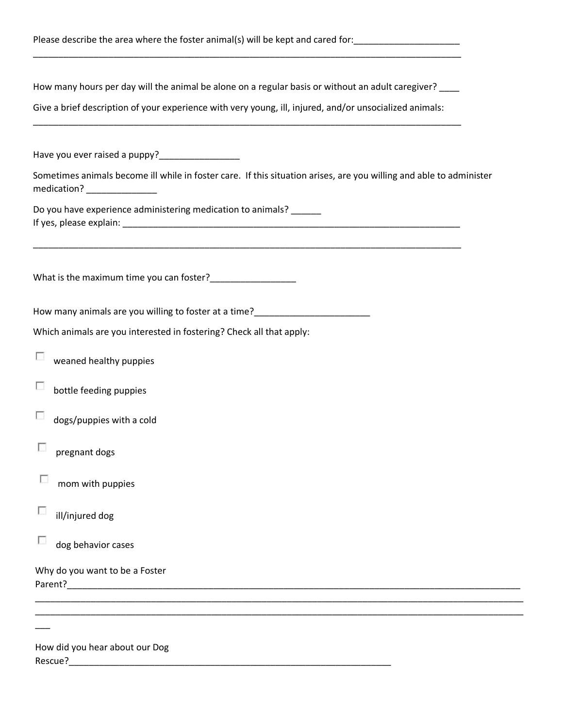| Please describe the area where the foster animal(s) will be kept and cared for:                                                                    |  |  |  |  |  |  |
|----------------------------------------------------------------------------------------------------------------------------------------------------|--|--|--|--|--|--|
| How many hours per day will the animal be alone on a regular basis or without an adult caregiver? ____                                             |  |  |  |  |  |  |
| Give a brief description of your experience with very young, ill, injured, and/or unsocialized animals:                                            |  |  |  |  |  |  |
| Have you ever raised a puppy?___________________                                                                                                   |  |  |  |  |  |  |
| Sometimes animals become ill while in foster care. If this situation arises, are you willing and able to administer<br>medication? _______________ |  |  |  |  |  |  |
| Do you have experience administering medication to animals? _____                                                                                  |  |  |  |  |  |  |
|                                                                                                                                                    |  |  |  |  |  |  |
|                                                                                                                                                    |  |  |  |  |  |  |
| Which animals are you interested in fostering? Check all that apply:                                                                               |  |  |  |  |  |  |
| a.<br>weaned healthy puppies                                                                                                                       |  |  |  |  |  |  |
| bottle feeding puppies<br>L.                                                                                                                       |  |  |  |  |  |  |
| dogs/puppies with a cold                                                                                                                           |  |  |  |  |  |  |
| pregnant dogs                                                                                                                                      |  |  |  |  |  |  |
| mom with puppies                                                                                                                                   |  |  |  |  |  |  |
| ill/injured dog                                                                                                                                    |  |  |  |  |  |  |
| dog behavior cases                                                                                                                                 |  |  |  |  |  |  |
| Why do you want to be a Foster<br>Parent? Parent Parent and Parent Parent Parent Parent Parent Parent Parent Parent Parent Parent Parent Parent    |  |  |  |  |  |  |
|                                                                                                                                                    |  |  |  |  |  |  |
|                                                                                                                                                    |  |  |  |  |  |  |

How did you hear about our Dog Rescue?\_\_\_\_\_\_\_\_\_\_\_\_\_\_\_\_\_\_\_\_\_\_\_\_\_\_\_\_\_\_\_\_\_\_\_\_\_\_\_\_\_\_\_\_\_\_\_\_\_\_\_\_\_\_\_\_\_\_\_\_\_\_\_\_